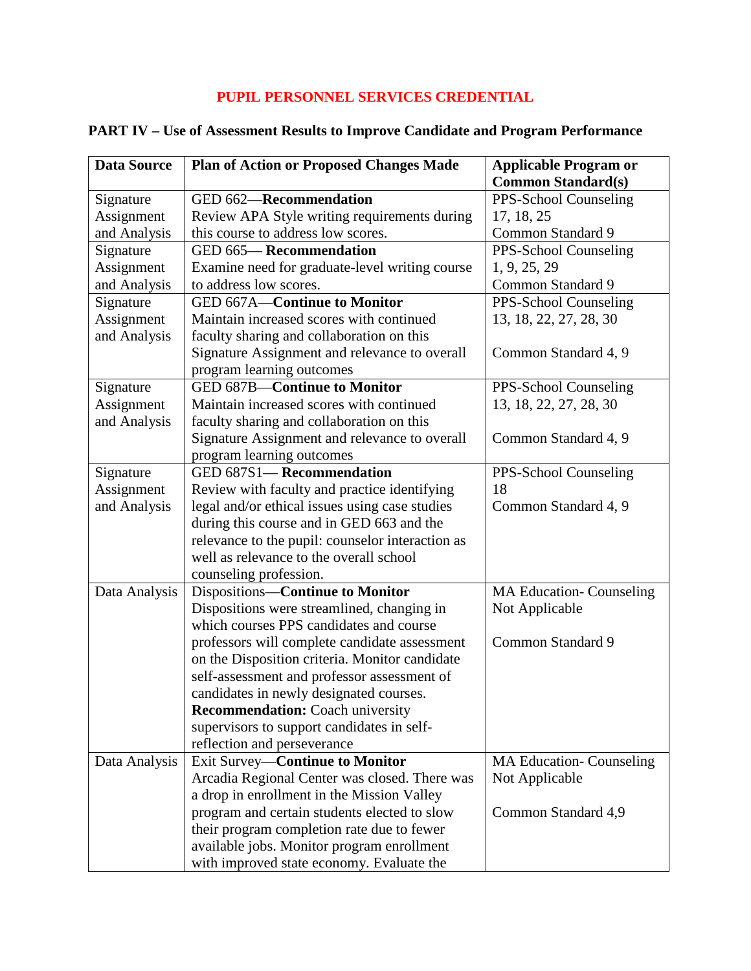## **PUPIL PERSONNEL SERVICES CREDENTIAL**

| <b>Data Source</b> | <b>Plan of Action or Proposed Changes Made</b>   | <b>Applicable Program or</b>    |
|--------------------|--------------------------------------------------|---------------------------------|
|                    |                                                  | <b>Common Standard(s)</b>       |
| Signature          | GED 662-Recommendation                           | PPS-School Counseling           |
| Assignment         | Review APA Style writing requirements during     | 17, 18, 25                      |
| and Analysis       | this course to address low scores.               | Common Standard 9               |
| Signature          | GED 665-Recommendation                           | PPS-School Counseling           |
| Assignment         | Examine need for graduate-level writing course   | 1, 9, 25, 29                    |
| and Analysis       | to address low scores.                           | Common Standard 9               |
| Signature          | <b>GED 667A-Continue to Monitor</b>              | PPS-School Counseling           |
| Assignment         | Maintain increased scores with continued         | 13, 18, 22, 27, 28, 30          |
| and Analysis       | faculty sharing and collaboration on this        |                                 |
|                    | Signature Assignment and relevance to overall    | Common Standard 4, 9            |
|                    | program learning outcomes                        |                                 |
| Signature          | <b>GED 687B-Continue to Monitor</b>              | PPS-School Counseling           |
| Assignment         | Maintain increased scores with continued         | 13, 18, 22, 27, 28, 30          |
| and Analysis       | faculty sharing and collaboration on this        |                                 |
|                    | Signature Assignment and relevance to overall    | Common Standard 4, 9            |
|                    | program learning outcomes                        |                                 |
| Signature          | GED 687S1-Recommendation                         | PPS-School Counseling           |
| Assignment         | Review with faculty and practice identifying     | 18                              |
| and Analysis       | legal and/or ethical issues using case studies   | Common Standard 4, 9            |
|                    | during this course and in GED 663 and the        |                                 |
|                    | relevance to the pupil: counselor interaction as |                                 |
|                    | well as relevance to the overall school          |                                 |
|                    | counseling profession.                           |                                 |
| Data Analysis      | Dispositions-Continue to Monitor                 | <b>MA Education- Counseling</b> |
|                    | Dispositions were streamlined, changing in       | Not Applicable                  |
|                    | which courses PPS candidates and course          |                                 |
|                    | professors will complete candidate assessment    | Common Standard 9               |
|                    | on the Disposition criteria. Monitor candidate   |                                 |
|                    | self-assessment and professor assessment of      |                                 |
|                    | candidates in newly designated courses.          |                                 |
|                    | <b>Recommendation:</b> Coach university          |                                 |
|                    | supervisors to support candidates in self-       |                                 |
|                    | reflection and perseverance                      |                                 |
| Data Analysis      | <b>Exit Survey-Continue to Monitor</b>           | <b>MA Education- Counseling</b> |
|                    | Arcadia Regional Center was closed. There was    | Not Applicable                  |
|                    | a drop in enrollment in the Mission Valley       |                                 |
|                    | program and certain students elected to slow     | Common Standard 4,9             |
|                    | their program completion rate due to fewer       |                                 |
|                    | available jobs. Monitor program enrollment       |                                 |
|                    | with improved state economy. Evaluate the        |                                 |

## **PART IV – Use of Assessment Results to Improve Candidate and Program Performance**